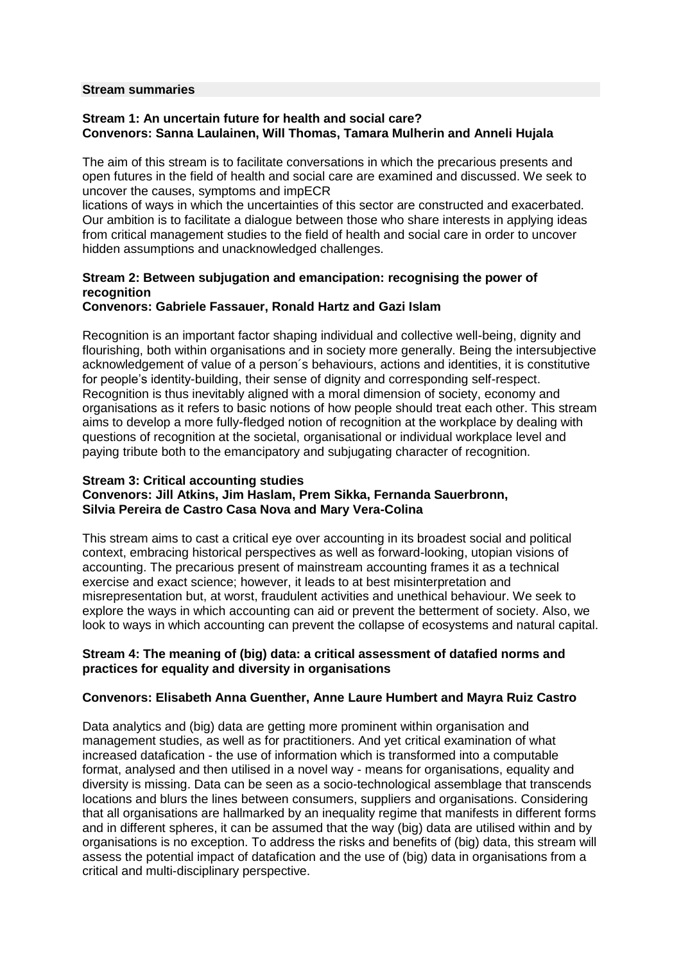#### **Stream summaries**

### **Stream 1: An uncertain future for health and social care? Convenors: Sanna Laulainen, Will Thomas, Tamara Mulherin and Anneli Hujala**

The aim of this stream is to facilitate conversations in which the precarious presents and open futures in the field of health and social care are examined and discussed. We seek to uncover the causes, symptoms and impECR

lications of ways in which the uncertainties of this sector are constructed and exacerbated. Our ambition is to facilitate a dialogue between those who share interests in applying ideas from critical management studies to the field of health and social care in order to uncover hidden assumptions and unacknowledged challenges.

# **Stream 2: Between subjugation and emancipation: recognising the power of recognition**

# **Convenors: Gabriele Fassauer, Ronald Hartz and Gazi Islam**

Recognition is an important factor shaping individual and collective well-being, dignity and flourishing, both within organisations and in society more generally. Being the intersubjective acknowledgement of value of a person´s behaviours, actions and identities, it is constitutive for people's identity-building, their sense of dignity and corresponding self-respect. Recognition is thus inevitably aligned with a moral dimension of society, economy and organisations as it refers to basic notions of how people should treat each other. This stream aims to develop a more fully-fledged notion of recognition at the workplace by dealing with questions of recognition at the societal, organisational or individual workplace level and paying tribute both to the emancipatory and subjugating character of recognition.

### **Stream 3: Critical accounting studies**

# **Convenors: Jill Atkins, Jim Haslam, Prem Sikka, Fernanda Sauerbronn, Silvia Pereira de Castro Casa Nova and Mary Vera-Colina**

This stream aims to cast a critical eye over accounting in its broadest social and political context, embracing historical perspectives as well as forward-looking, utopian visions of accounting. The precarious present of mainstream accounting frames it as a technical exercise and exact science; however, it leads to at best misinterpretation and misrepresentation but, at worst, fraudulent activities and unethical behaviour. We seek to explore the ways in which accounting can aid or prevent the betterment of society. Also, we look to ways in which accounting can prevent the collapse of ecosystems and natural capital.

### **Stream 4: The meaning of (big) data: a critical assessment of datafied norms and practices for equality and diversity in organisations**

### **Convenors: Elisabeth Anna Guenther, Anne Laure Humbert and Mayra Ruiz Castro**

Data analytics and (big) data are getting more prominent within organisation and management studies, as well as for practitioners. And yet critical examination of what increased datafication - the use of information which is transformed into a computable format, analysed and then utilised in a novel way - means for organisations, equality and diversity is missing. Data can be seen as a socio-technological assemblage that transcends locations and blurs the lines between consumers, suppliers and organisations. Considering that all organisations are hallmarked by an inequality regime that manifests in different forms and in different spheres, it can be assumed that the way (big) data are utilised within and by organisations is no exception. To address the risks and benefits of (big) data, this stream will assess the potential impact of datafication and the use of (big) data in organisations from a critical and multi-disciplinary perspective.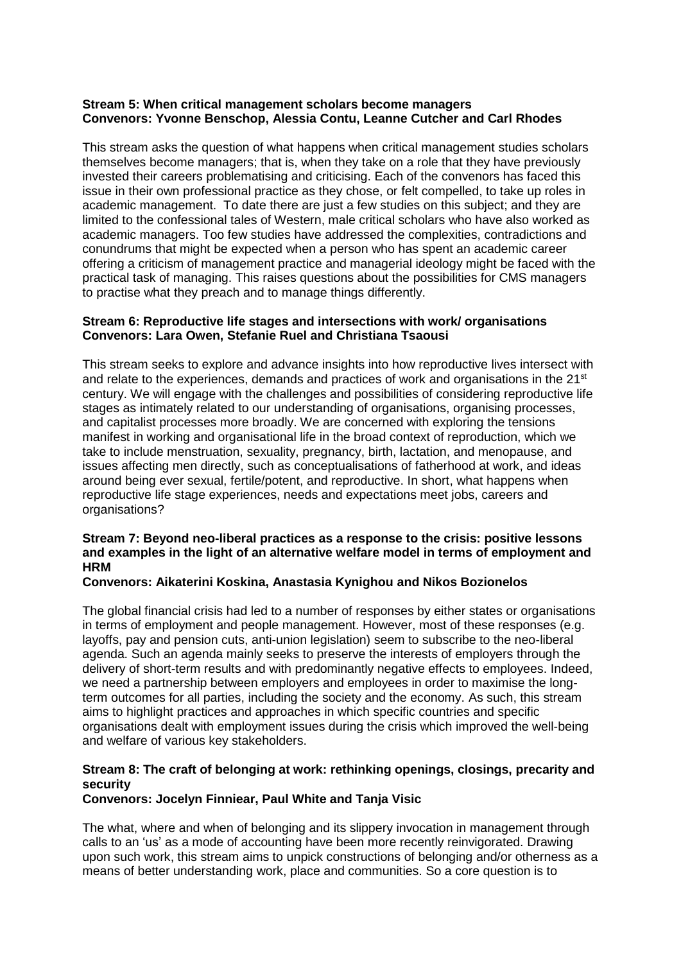# **Stream 5: When critical management scholars become managers Convenors: Yvonne Benschop, Alessia Contu, Leanne Cutcher and Carl Rhodes**

This stream asks the question of what happens when critical management studies scholars themselves become managers; that is, when they take on a role that they have previously invested their careers problematising and criticising. Each of the convenors has faced this issue in their own professional practice as they chose, or felt compelled, to take up roles in academic management. To date there are just a few studies on this subject; and they are limited to the confessional tales of Western, male critical scholars who have also worked as academic managers. Too few studies have addressed the complexities, contradictions and conundrums that might be expected when a person who has spent an academic career offering a criticism of management practice and managerial ideology might be faced with the practical task of managing. This raises questions about the possibilities for CMS managers to practise what they preach and to manage things differently.

# **Stream 6: Reproductive life stages and intersections with work/ organisations Convenors: Lara Owen, Stefanie Ruel and Christiana Tsaousi**

This stream seeks to explore and advance insights into how reproductive lives intersect with and relate to the experiences, demands and practices of work and organisations in the  $21<sup>st</sup>$ century. We will engage with the challenges and possibilities of considering reproductive life stages as intimately related to our understanding of organisations, organising processes, and capitalist processes more broadly. We are concerned with exploring the tensions manifest in working and organisational life in the broad context of reproduction, which we take to include menstruation, sexuality, pregnancy, birth, lactation, and menopause, and issues affecting men directly, such as conceptualisations of fatherhood at work, and ideas around being ever sexual, fertile/potent, and reproductive. In short, what happens when reproductive life stage experiences, needs and expectations meet jobs, careers and organisations?

# **Stream 7: Beyond neo-liberal practices as a response to the crisis: positive lessons and examples in the light of an alternative welfare model in terms of employment and HRM**

# **Convenors: Aikaterini Koskina, Anastasia Kynighou and Nikos Bozionelos**

The global financial crisis had led to a number of responses by either states or organisations in terms of employment and people management. However, most of these responses (e.g. layoffs, pay and pension cuts, anti-union legislation) seem to subscribe to the neo-liberal agenda. Such an agenda mainly seeks to preserve the interests of employers through the delivery of short-term results and with predominantly negative effects to employees. Indeed, we need a partnership between employers and employees in order to maximise the longterm outcomes for all parties, including the society and the economy. As such, this stream aims to highlight practices and approaches in which specific countries and specific organisations dealt with employment issues during the crisis which improved the well-being and welfare of various key stakeholders.

# **Stream 8: The craft of belonging at work: rethinking openings, closings, precarity and security**

# **Convenors: Jocelyn Finniear, Paul White and Tanja Visic**

The what, where and when of belonging and its slippery invocation in management through calls to an 'us' as a mode of accounting have been more recently reinvigorated. Drawing upon such work, this stream aims to unpick constructions of belonging and/or otherness as a means of better understanding work, place and communities. So a core question is to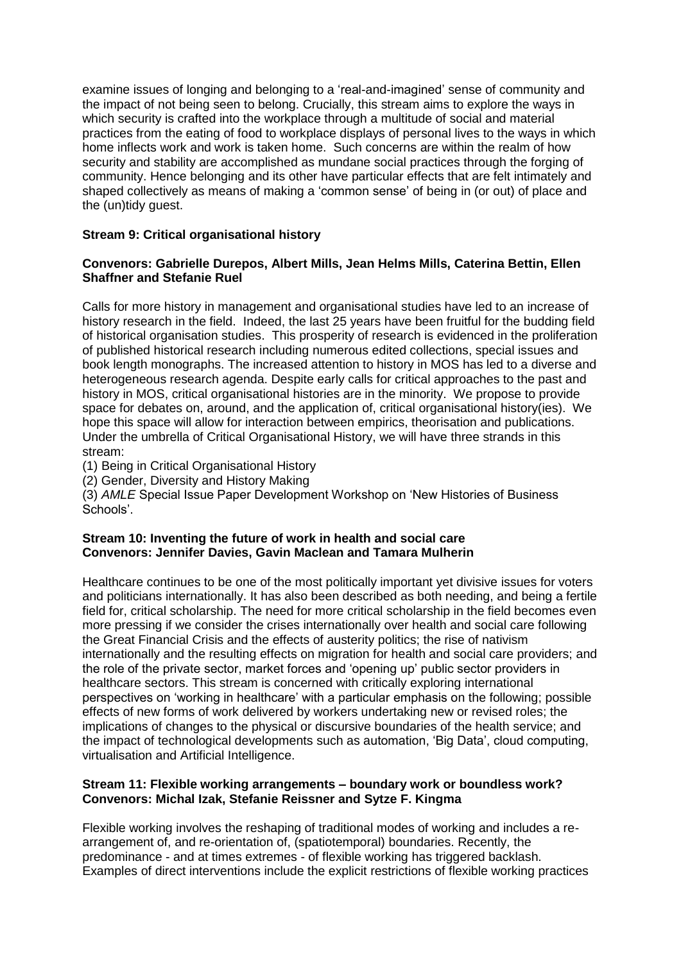examine issues of longing and belonging to a 'real-and-imagined' sense of community and the impact of not being seen to belong. Crucially, this stream aims to explore the ways in which security is crafted into the workplace through a multitude of social and material practices from the eating of food to workplace displays of personal lives to the ways in which home inflects work and work is taken home. Such concerns are within the realm of how security and stability are accomplished as mundane social practices through the forging of community. Hence belonging and its other have particular effects that are felt intimately and shaped collectively as means of making a 'common sense' of being in (or out) of place and the (un)tidy guest.

# **Stream 9: Critical organisational history**

# **Convenors: Gabrielle Durepos, Albert Mills, Jean Helms Mills, Caterina Bettin, Ellen Shaffner and Stefanie Ruel**

Calls for more history in management and organisational studies have led to an increase of history research in the field. Indeed, the last 25 years have been fruitful for the budding field of historical organisation studies. This prosperity of research is evidenced in the proliferation of published historical research including numerous edited collections, special issues and book length monographs. The increased attention to history in MOS has led to a diverse and heterogeneous research agenda. Despite early calls for critical approaches to the past and history in MOS, critical organisational histories are in the minority. We propose to provide space for debates on, around, and the application of, critical organisational history(ies). We hope this space will allow for interaction between empirics, theorisation and publications. Under the umbrella of Critical Organisational History, we will have three strands in this stream:

(1) Being in Critical Organisational History

(2) Gender, Diversity and History Making

(3) *AMLE* Special Issue Paper Development Workshop on 'New Histories of Business Schools'.

### **Stream 10: Inventing the future of work in health and social care Convenors: Jennifer Davies, Gavin Maclean and Tamara Mulherin**

Healthcare continues to be one of the most politically important yet divisive issues for voters and politicians internationally. It has also been described as both needing, and being a fertile field for, critical scholarship. The need for more critical scholarship in the field becomes even more pressing if we consider the crises internationally over health and social care following the Great Financial Crisis and the effects of austerity politics; the rise of nativism internationally and the resulting effects on migration for health and social care providers; and the role of the private sector, market forces and 'opening up' public sector providers in healthcare sectors. This stream is concerned with critically exploring international perspectives on 'working in healthcare' with a particular emphasis on the following; possible effects of new forms of work delivered by workers undertaking new or revised roles; the implications of changes to the physical or discursive boundaries of the health service; and the impact of technological developments such as automation, 'Big Data', cloud computing, virtualisation and Artificial Intelligence.

### **Stream 11: Flexible working arrangements – boundary work or boundless work? Convenors: Michal Izak, Stefanie Reissner and Sytze F. Kingma**

Flexible working involves the reshaping of traditional modes of working and includes a rearrangement of, and re-orientation of, (spatiotemporal) boundaries. Recently, the predominance - and at times extremes - of flexible working has triggered backlash. Examples of direct interventions include the explicit restrictions of flexible working practices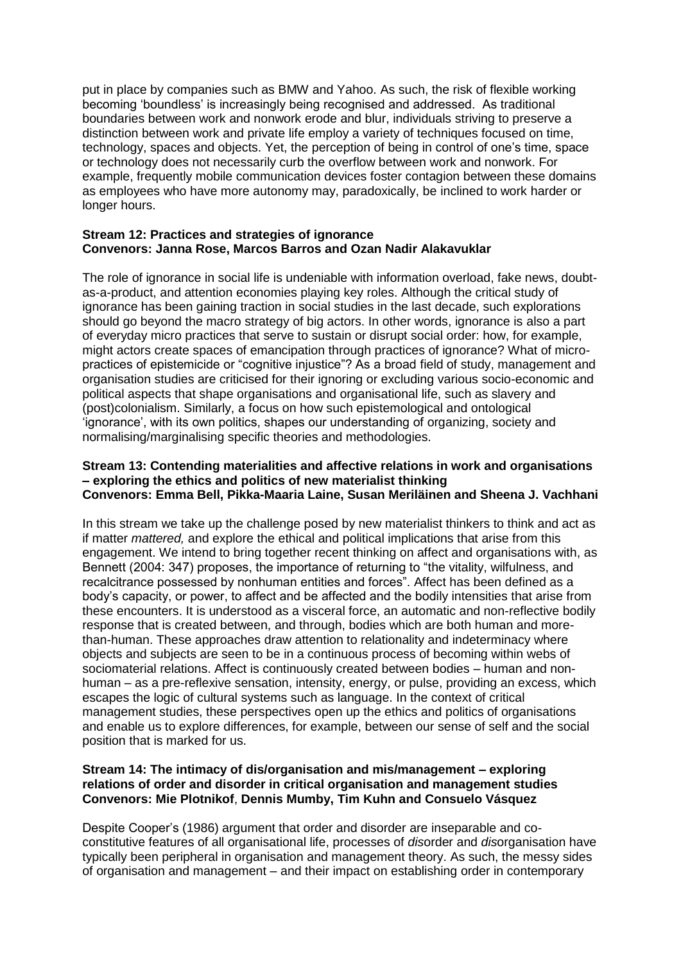put in place by companies such as BMW and Yahoo. As such, the risk of flexible working becoming 'boundless' is increasingly being recognised and addressed. As traditional boundaries between work and nonwork erode and blur, individuals striving to preserve a distinction between work and private life employ a variety of techniques focused on time, technology, spaces and objects. Yet, the perception of being in control of one's time, space or technology does not necessarily curb the overflow between work and nonwork. For example, frequently mobile communication devices foster contagion between these domains as employees who have more autonomy may, paradoxically, be inclined to work harder or longer hours.

### **Stream 12: Practices and strategies of ignorance Convenors: Janna Rose, Marcos Barros and Ozan Nadir Alakavuklar**

The role of ignorance in social life is undeniable with information overload, fake news, doubtas-a-product, and attention economies playing key roles. Although the critical study of ignorance has been gaining traction in social studies in the last decade, such explorations should go beyond the macro strategy of big actors. In other words, ignorance is also a part of everyday micro practices that serve to sustain or disrupt social order: how, for example, might actors create spaces of emancipation through practices of ignorance? What of micropractices of epistemicide or "cognitive injustice"? As a broad field of study, management and organisation studies are criticised for their ignoring or excluding various socio-economic and political aspects that shape organisations and organisational life, such as slavery and (post)colonialism. Similarly, a focus on how such epistemological and ontological 'ignorance', with its own politics, shapes our understanding of organizing, society and normalising/marginalising specific theories and methodologies.

### **Stream 13: Contending materialities and affective relations in work and organisations – exploring the ethics and politics of new materialist thinking Convenors: Emma Bell, Pikka-Maaria Laine, Susan Meriläinen and Sheena J. Vachhani**

In this stream we take up the challenge posed by new materialist thinkers to think and act as if matter *mattered,* and explore the ethical and political implications that arise from this engagement. We intend to bring together recent thinking on affect and organisations with, as Bennett (2004: 347) proposes, the importance of returning to "the vitality, wilfulness, and recalcitrance possessed by nonhuman entities and forces". Affect has been defined as a body's capacity, or power, to affect and be affected and the bodily intensities that arise from these encounters. It is understood as a visceral force, an automatic and non-reflective bodily response that is created between, and through, bodies which are both human and morethan-human. These approaches draw attention to relationality and indeterminacy where objects and subjects are seen to be in a continuous process of becoming within webs of sociomaterial relations. Affect is continuously created between bodies – human and nonhuman – as a pre-reflexive sensation, intensity, energy, or pulse, providing an excess, which escapes the logic of cultural systems such as language. In the context of critical management studies, these perspectives open up the ethics and politics of organisations and enable us to explore differences, for example, between our sense of self and the social position that is marked for us.

# **Stream 14: The intimacy of dis/organisation and mis/management – exploring relations of order and disorder in critical organisation and management studies Convenors: Mie Plotnikof**, **Dennis Mumby, Tim Kuhn and Consuelo Vásquez**

Despite Cooper's (1986) argument that order and disorder are inseparable and coconstitutive features of all organisational life, processes of *dis*order and *dis*organisation have typically been peripheral in organisation and management theory. As such, the messy sides of organisation and management – and their impact on establishing order in contemporary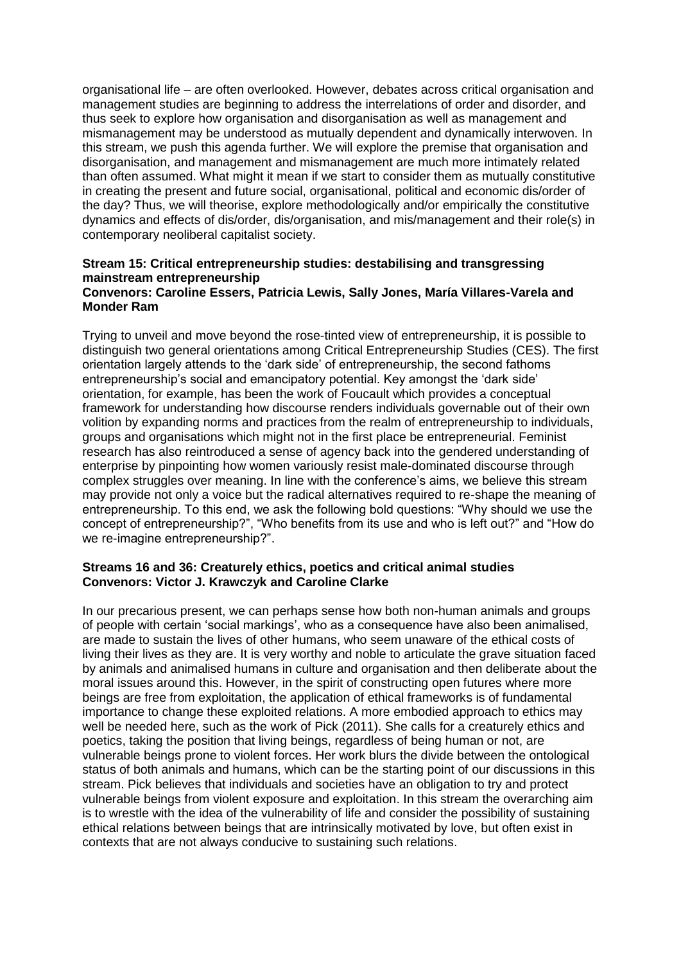organisational life – are often overlooked. However, debates across critical organisation and management studies are beginning to address the interrelations of order and disorder, and thus seek to explore how organisation and disorganisation as well as management and mismanagement may be understood as mutually dependent and dynamically interwoven. In this stream, we push this agenda further. We will explore the premise that organisation and disorganisation, and management and mismanagement are much more intimately related than often assumed. What might it mean if we start to consider them as mutually constitutive in creating the present and future social, organisational, political and economic dis/order of the day? Thus, we will theorise, explore methodologically and/or empirically the constitutive dynamics and effects of dis/order, dis/organisation, and mis/management and their role(s) in contemporary neoliberal capitalist society.

# **Stream 15: Critical entrepreneurship studies: destabilising and transgressing mainstream entrepreneurship**

### **Convenors: Caroline Essers, Patricia Lewis, Sally Jones, María Villares-Varela and Monder Ram**

Trying to unveil and move beyond the rose-tinted view of entrepreneurship, it is possible to distinguish two general orientations among Critical Entrepreneurship Studies (CES). The first orientation largely attends to the 'dark side' of entrepreneurship, the second fathoms entrepreneurship's social and emancipatory potential. Key amongst the 'dark side' orientation, for example, has been the work of Foucault which provides a conceptual framework for understanding how discourse renders individuals governable out of their own volition by expanding norms and practices from the realm of entrepreneurship to individuals, groups and organisations which might not in the first place be entrepreneurial. Feminist research has also reintroduced a sense of agency back into the gendered understanding of enterprise by pinpointing how women variously resist male-dominated discourse through complex struggles over meaning. In line with the conference's aims, we believe this stream may provide not only a voice but the radical alternatives required to re-shape the meaning of entrepreneurship. To this end, we ask the following bold questions: "Why should we use the concept of entrepreneurship?", "Who benefits from its use and who is left out?" and "How do we re-imagine entrepreneurship?".

### **Streams 16 and 36: Creaturely ethics, poetics and critical animal studies Convenors: Victor J. Krawczyk and Caroline Clarke**

In our precarious present, we can perhaps sense how both non-human animals and groups of people with certain 'social markings', who as a consequence have also been animalised, are made to sustain the lives of other humans, who seem unaware of the ethical costs of living their lives as they are. It is very worthy and noble to articulate the grave situation faced by animals and animalised humans in culture and organisation and then deliberate about the moral issues around this. However, in the spirit of constructing open futures where more beings are free from exploitation, the application of ethical frameworks is of fundamental importance to change these exploited relations. A more embodied approach to ethics may well be needed here, such as the work of Pick (2011). She calls for a creaturely ethics and poetics, taking the position that living beings, regardless of being human or not, are vulnerable beings prone to violent forces. Her work blurs the divide between the ontological status of both animals and humans, which can be the starting point of our discussions in this stream. Pick believes that individuals and societies have an obligation to try and protect vulnerable beings from violent exposure and exploitation. In this stream the overarching aim is to wrestle with the idea of the vulnerability of life and consider the possibility of sustaining ethical relations between beings that are intrinsically motivated by love, but often exist in contexts that are not always conducive to sustaining such relations.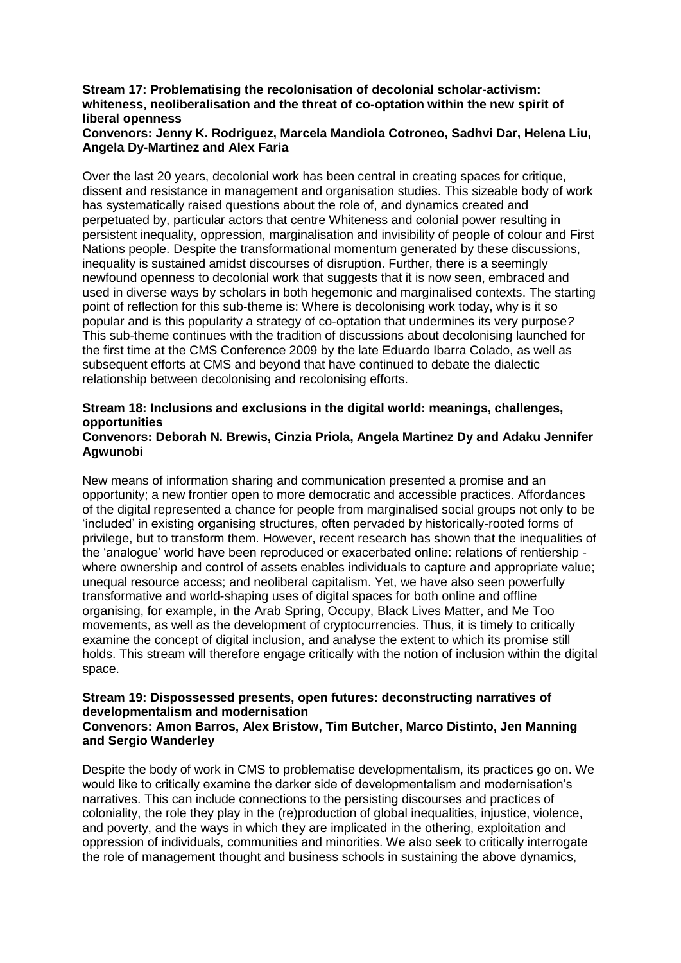# **Stream 17: Problematising the recolonisation of decolonial scholar-activism: whiteness, neoliberalisation and the threat of co-optation within the new spirit of liberal openness**

# **Convenors: Jenny K. Rodriguez, Marcela Mandiola Cotroneo, Sadhvi Dar, Helena Liu, Angela Dy-Martinez and Alex Faria**

Over the last 20 years, decolonial work has been central in creating spaces for critique, dissent and resistance in management and organisation studies. This sizeable body of work has systematically raised questions about the role of, and dynamics created and perpetuated by, particular actors that centre Whiteness and colonial power resulting in persistent inequality, oppression, marginalisation and invisibility of people of colour and First Nations people. Despite the transformational momentum generated by these discussions, inequality is sustained amidst discourses of disruption. Further, there is a seemingly newfound openness to decolonial work that suggests that it is now seen, embraced and used in diverse ways by scholars in both hegemonic and marginalised contexts. The starting point of reflection for this sub-theme is: Where is decolonising work today, why is it so popular and is this popularity a strategy of co-optation that undermines its very purpose*?* This sub-theme continues with the tradition of discussions about decolonising launched for the first time at the CMS Conference 2009 by the late Eduardo Ibarra Colado, as well as subsequent efforts at CMS and beyond that have continued to debate the dialectic relationship between decolonising and recolonising efforts.

# **Stream 18: Inclusions and exclusions in the digital world: meanings, challenges, opportunities**

### **Convenors: Deborah N. Brewis, Cinzia Priola, Angela Martinez Dy and Adaku Jennifer Agwunobi**

New means of information sharing and communication presented a promise and an opportunity; a new frontier open to more democratic and accessible practices. Affordances of the digital represented a chance for people from marginalised social groups not only to be 'included' in existing organising structures, often pervaded by historically-rooted forms of privilege, but to transform them. However, recent research has shown that the inequalities of the 'analogue' world have been reproduced or exacerbated online: relations of rentiership where ownership and control of assets enables individuals to capture and appropriate value; unequal resource access; and neoliberal capitalism. Yet, we have also seen powerfully transformative and world-shaping uses of digital spaces for both online and offline organising, for example, in the Arab Spring, Occupy, Black Lives Matter, and Me Too movements, as well as the development of cryptocurrencies. Thus, it is timely to critically examine the concept of digital inclusion, and analyse the extent to which its promise still holds. This stream will therefore engage critically with the notion of inclusion within the digital space.

### **Stream 19: Dispossessed presents, open futures: deconstructing narratives of developmentalism and modernisation Convenors: Amon Barros, Alex Bristow, Tim Butcher, Marco Distinto, Jen Manning and Sergio Wanderley**

Despite the body of work in CMS to problematise developmentalism, its practices go on. We would like to critically examine the darker side of developmentalism and modernisation's narratives. This can include connections to the persisting discourses and practices of coloniality, the role they play in the (re)production of global inequalities, injustice, violence, and poverty, and the ways in which they are implicated in the othering, exploitation and oppression of individuals, communities and minorities. We also seek to critically interrogate the role of management thought and business schools in sustaining the above dynamics,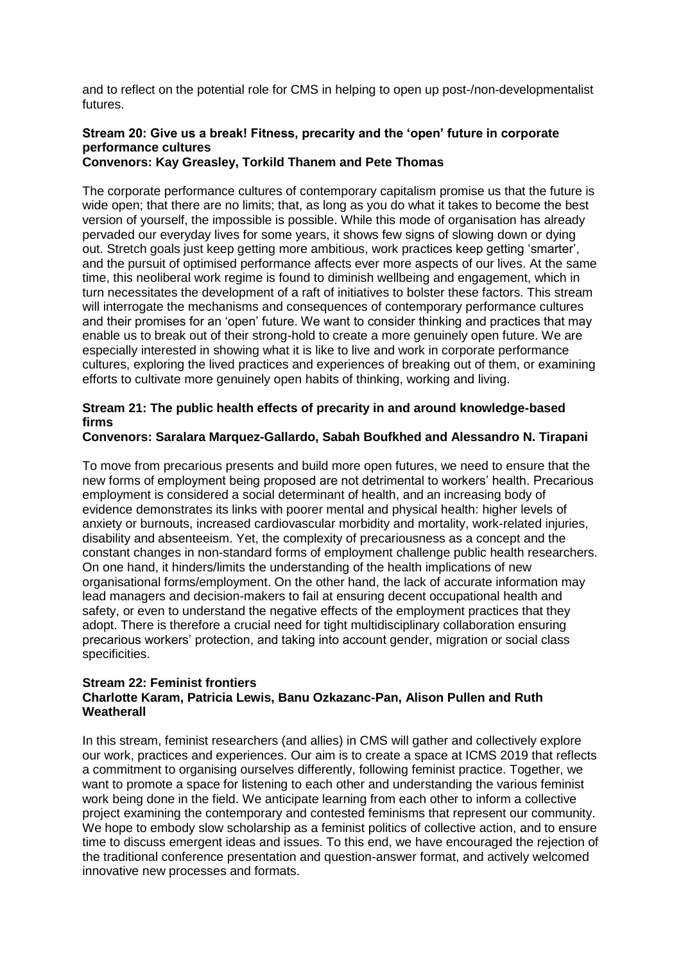and to reflect on the potential role for CMS in helping to open up post-/non-developmentalist futures.

# **Stream 20: Give us a break! Fitness, precarity and the 'open' future in corporate performance cultures**

# **Convenors: Kay Greasley, Torkild Thanem and Pete Thomas**

The corporate performance cultures of contemporary capitalism promise us that the future is wide open; that there are no limits; that, as long as you do what it takes to become the best version of yourself, the impossible is possible. While this mode of organisation has already pervaded our everyday lives for some years, it shows few signs of slowing down or dying out. Stretch goals just keep getting more ambitious, work practices keep getting 'smarter', and the pursuit of optimised performance affects ever more aspects of our lives. At the same time, this neoliberal work regime is found to diminish wellbeing and engagement, which in turn necessitates the development of a raft of initiatives to bolster these factors. This stream will interrogate the mechanisms and consequences of contemporary performance cultures and their promises for an 'open' future. We want to consider thinking and practices that may enable us to break out of their strong-hold to create a more genuinely open future. We are especially interested in showing what it is like to live and work in corporate performance cultures, exploring the lived practices and experiences of breaking out of them, or examining efforts to cultivate more genuinely open habits of thinking, working and living.

# **Stream 21: The public health effects of precarity in and around knowledge-based firms**

# **Convenors: Saralara Marquez-Gallardo, Sabah Boufkhed and Alessandro N. Tirapani**

To move from precarious presents and build more open futures, we need to ensure that the new forms of employment being proposed are not detrimental to workers' health. Precarious employment is considered a social determinant of health, and an increasing body of evidence demonstrates its links with poorer mental and physical health: higher levels of anxiety or burnouts, increased cardiovascular morbidity and mortality, work-related injuries, disability and absenteeism. Yet, the complexity of precariousness as a concept and the constant changes in non-standard forms of employment challenge public health researchers. On one hand, it hinders/limits the understanding of the health implications of new organisational forms/employment. On the other hand, the lack of accurate information may lead managers and decision-makers to fail at ensuring decent occupational health and safety, or even to understand the negative effects of the employment practices that they adopt. There is therefore a crucial need for tight multidisciplinary collaboration ensuring precarious workers' protection, and taking into account gender, migration or social class specificities.

### **Stream 22: Feminist frontiers Charlotte Karam, Patricia Lewis, Banu Ozkazanc-Pan, Alison Pullen and Ruth Weatherall**

In this stream, feminist researchers (and allies) in CMS will gather and collectively explore our work, practices and experiences. Our aim is to create a space at ICMS 2019 that reflects a commitment to organising ourselves differently, following feminist practice. Together, we want to promote a space for listening to each other and understanding the various feminist work being done in the field. We anticipate learning from each other to inform a collective project examining the contemporary and contested feminisms that represent our community. We hope to embody slow scholarship as a feminist politics of collective action, and to ensure time to discuss emergent ideas and issues. To this end, we have encouraged the rejection of the traditional conference presentation and question-answer format, and actively welcomed innovative new processes and formats.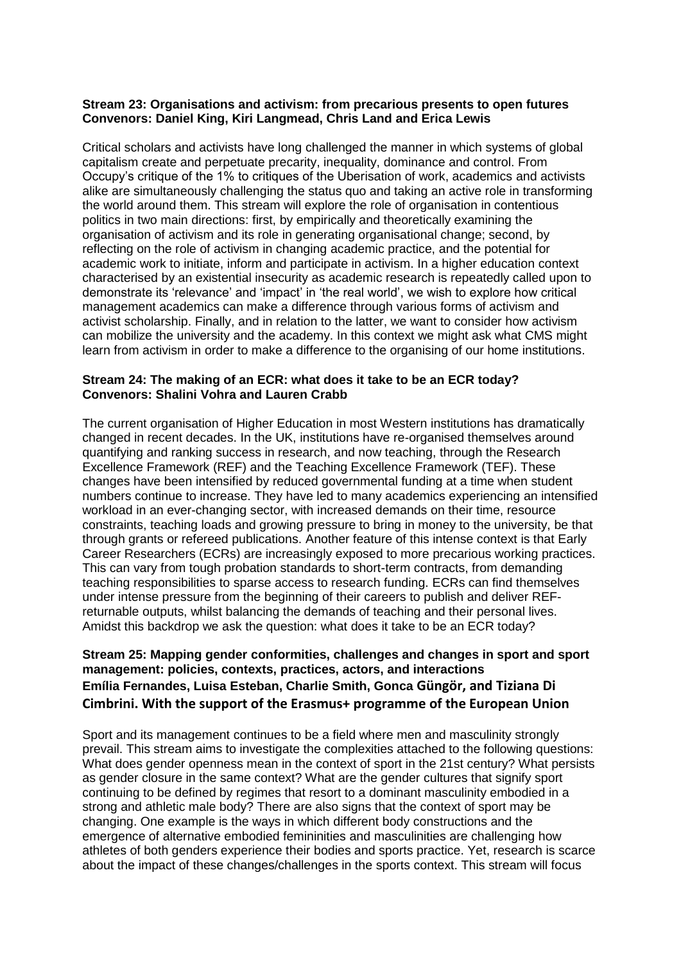### **Stream 23: Organisations and activism: from precarious presents to open futures Convenors: Daniel King, Kiri Langmead, Chris Land and Erica Lewis**

Critical scholars and activists have long challenged the manner in which systems of global capitalism create and perpetuate precarity, inequality, dominance and control. From Occupy's critique of the 1% to critiques of the Uberisation of work, academics and activists alike are simultaneously challenging the status quo and taking an active role in transforming the world around them. This stream will explore the role of organisation in contentious politics in two main directions: first, by empirically and theoretically examining the organisation of activism and its role in generating organisational change; second, by reflecting on the role of activism in changing academic practice, and the potential for academic work to initiate, inform and participate in activism. In a higher education context characterised by an existential insecurity as academic research is repeatedly called upon to demonstrate its 'relevance' and 'impact' in 'the real world', we wish to explore how critical management academics can make a difference through various forms of activism and activist scholarship. Finally, and in relation to the latter, we want to consider how activism can mobilize the university and the academy. In this context we might ask what CMS might learn from activism in order to make a difference to the organising of our home institutions.

# **Stream 24: The making of an ECR: what does it take to be an ECR today? Convenors: Shalini Vohra and Lauren Crabb**

The current organisation of Higher Education in most Western institutions has dramatically changed in recent decades. In the UK, institutions have re-organised themselves around quantifying and ranking success in research, and now teaching, through the Research Excellence Framework (REF) and the Teaching Excellence Framework (TEF). These changes have been intensified by reduced governmental funding at a time when student numbers continue to increase. They have led to many academics experiencing an intensified workload in an ever-changing sector, with increased demands on their time, resource constraints, teaching loads and growing pressure to bring in money to the university, be that through grants or refereed publications. Another feature of this intense context is that Early Career Researchers (ECRs) are increasingly exposed to more precarious working practices. This can vary from tough probation standards to short-term contracts, from demanding teaching responsibilities to sparse access to research funding. ECRs can find themselves under intense pressure from the beginning of their careers to publish and deliver REFreturnable outputs, whilst balancing the demands of teaching and their personal lives. Amidst this backdrop we ask the question: what does it take to be an ECR today?

# **Stream 25: Mapping gender conformities, challenges and changes in sport and sport management: policies, contexts, practices, actors, and interactions Emília Fernandes, Luisa Esteban, Charlie Smith, Gonca Güngör, and Tiziana Di Cimbrini. With the support of the Erasmus+ programme of the European Union**

Sport and its management continues to be a field where men and masculinity strongly prevail. This stream aims to investigate the complexities attached to the following questions: What does gender openness mean in the context of sport in the 21st century? What persists as gender closure in the same context? What are the gender cultures that signify sport continuing to be defined by regimes that resort to a dominant masculinity embodied in a strong and athletic male body? There are also signs that the context of sport may be changing. One example is the ways in which different body constructions and the emergence of alternative embodied femininities and masculinities are challenging how athletes of both genders experience their bodies and sports practice. Yet, research is scarce about the impact of these changes/challenges in the sports context. This stream will focus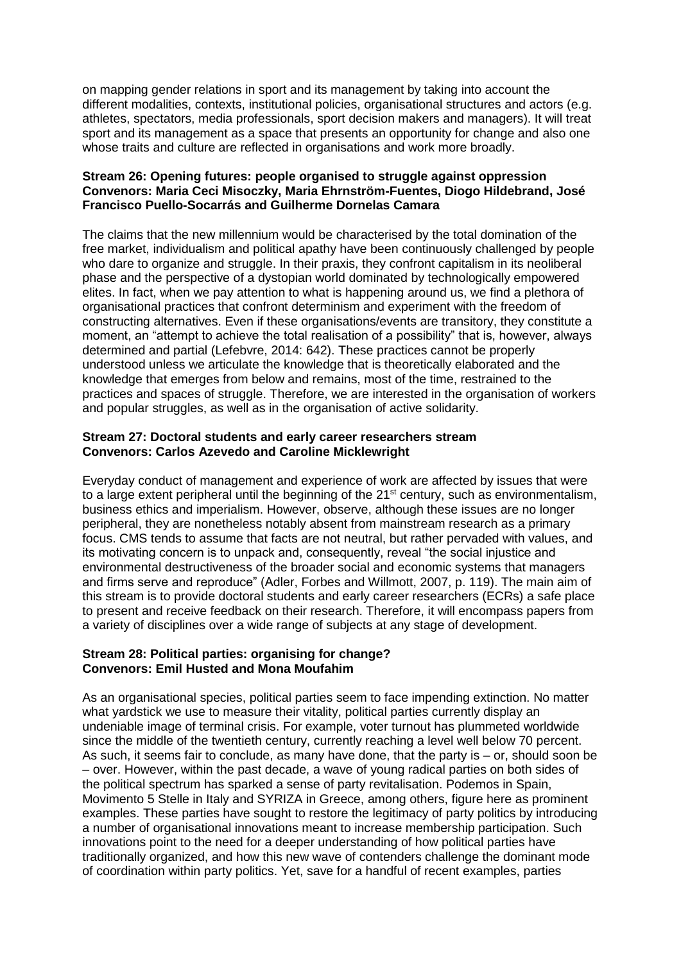on mapping gender relations in sport and its management by taking into account the different modalities, contexts, institutional policies, organisational structures and actors (e.g. athletes, spectators, media professionals, sport decision makers and managers). It will treat sport and its management as a space that presents an opportunity for change and also one whose traits and culture are reflected in organisations and work more broadly.

### **Stream 26: Opening futures: people organised to struggle against oppression Convenors: Maria Ceci Misoczky, Maria Ehrnström-Fuentes, Diogo Hildebrand, José Francisco Puello-Socarrás and Guilherme Dornelas Camara**

The claims that the new millennium would be characterised by the total domination of the free market, individualism and political apathy have been continuously challenged by people who dare to organize and struggle. In their praxis, they confront capitalism in its neoliberal phase and the perspective of a dystopian world dominated by technologically empowered elites. In fact, when we pay attention to what is happening around us, we find a plethora of organisational practices that confront determinism and experiment with the freedom of constructing alternatives. Even if these organisations/events are transitory, they constitute a moment, an "attempt to achieve the total realisation of a possibility" that is, however, always determined and partial (Lefebvre, 2014: 642). These practices cannot be properly understood unless we articulate the knowledge that is theoretically elaborated and the knowledge that emerges from below and remains, most of the time, restrained to the practices and spaces of struggle. Therefore, we are interested in the organisation of workers and popular struggles, as well as in the organisation of active solidarity.

### **Stream 27: Doctoral students and early career researchers stream Convenors: Carlos Azevedo and Caroline Micklewright**

Everyday conduct of management and experience of work are affected by issues that were to a large extent peripheral until the beginning of the 21<sup>st</sup> century, such as environmentalism, business ethics and imperialism. However, observe, although these issues are no longer peripheral, they are nonetheless notably absent from mainstream research as a primary focus. CMS tends to assume that facts are not neutral, but rather pervaded with values, and its motivating concern is to unpack and, consequently, reveal "the social injustice and environmental destructiveness of the broader social and economic systems that managers and firms serve and reproduce" (Adler, Forbes and Willmott, 2007, p. 119). The main aim of this stream is to provide doctoral students and early career researchers (ECRs) a safe place to present and receive feedback on their research. Therefore, it will encompass papers from a variety of disciplines over a wide range of subjects at any stage of development.

### **Stream 28: Political parties: organising for change? Convenors: Emil Husted and Mona Moufahim**

As an organisational species, political parties seem to face impending extinction. No matter what yardstick we use to measure their vitality, political parties currently display an undeniable image of terminal crisis. For example, voter turnout has plummeted worldwide since the middle of the twentieth century, currently reaching a level well below 70 percent. As such, it seems fair to conclude, as many have done, that the party is – or, should soon be – over. However, within the past decade, a wave of young radical parties on both sides of the political spectrum has sparked a sense of party revitalisation. Podemos in Spain, Movimento 5 Stelle in Italy and SYRIZA in Greece, among others, figure here as prominent examples. These parties have sought to restore the legitimacy of party politics by introducing a number of organisational innovations meant to increase membership participation. Such innovations point to the need for a deeper understanding of how political parties have traditionally organized, and how this new wave of contenders challenge the dominant mode of coordination within party politics. Yet, save for a handful of recent examples, parties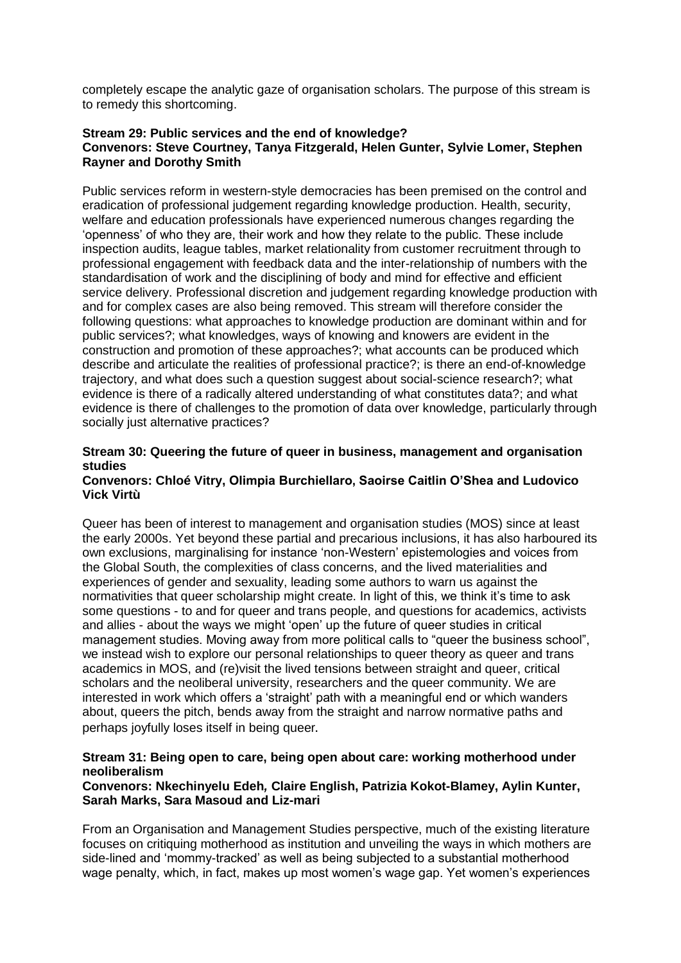completely escape the analytic gaze of organisation scholars. The purpose of this stream is to remedy this shortcoming.

# **Stream 29: Public services and the end of knowledge? Convenors: Steve Courtney, Tanya Fitzgerald, Helen Gunter, Sylvie Lomer, Stephen Rayner and Dorothy Smith**

Public services reform in western-style democracies has been premised on the control and eradication of professional judgement regarding knowledge production. Health, security, welfare and education professionals have experienced numerous changes regarding the 'openness' of who they are, their work and how they relate to the public. These include inspection audits, league tables, market relationality from customer recruitment through to professional engagement with feedback data and the inter-relationship of numbers with the standardisation of work and the disciplining of body and mind for effective and efficient service delivery. Professional discretion and judgement regarding knowledge production with and for complex cases are also being removed. This stream will therefore consider the following questions: what approaches to knowledge production are dominant within and for public services?; what knowledges, ways of knowing and knowers are evident in the construction and promotion of these approaches?; what accounts can be produced which describe and articulate the realities of professional practice?; is there an end-of-knowledge trajectory, and what does such a question suggest about social-science research?; what evidence is there of a radically altered understanding of what constitutes data?; and what evidence is there of challenges to the promotion of data over knowledge, particularly through socially just alternative practices?

# **Stream 30: Queering the future of queer in business, management and organisation studies**

### **Convenors: Chloé Vitry, Olimpia Burchiellaro, Saoirse Caitlin O'Shea and Ludovico Vick Virtù**

Queer has been of interest to management and organisation studies (MOS) since at least the early 2000s. Yet beyond these partial and precarious inclusions, it has also harboured its own exclusions, marginalising for instance 'non-Western' epistemologies and voices from the Global South, the complexities of class concerns, and the lived materialities and experiences of gender and sexuality, leading some authors to warn us against the normativities that queer scholarship might create. In light of this, we think it's time to ask some questions - to and for queer and trans people, and questions for academics, activists and allies - about the ways we might 'open' up the future of queer studies in critical management studies. Moving away from more political calls to "queer the business school", we instead wish to explore our personal relationships to queer theory as queer and trans academics in MOS, and (re)visit the lived tensions between straight and queer, critical scholars and the neoliberal university, researchers and the queer community. We are interested in work which offers a 'straight' path with a meaningful end or which wanders about, queers the pitch, bends away from the straight and narrow normative paths and perhaps joyfully loses itself in being queer.

# **Stream 31: Being open to care, being open about care: working motherhood under neoliberalism**

# **Convenors: Nkechinyelu Edeh***,* **Claire English, Patrizia Kokot-Blamey, Aylin Kunter, Sarah Marks, Sara Masoud and Liz-mari**

From an Organisation and Management Studies perspective, much of the existing literature focuses on critiquing motherhood as institution and unveiling the ways in which mothers are side-lined and 'mommy-tracked' as well as being subjected to a substantial motherhood wage penalty, which, in fact, makes up most women's wage gap. Yet women's experiences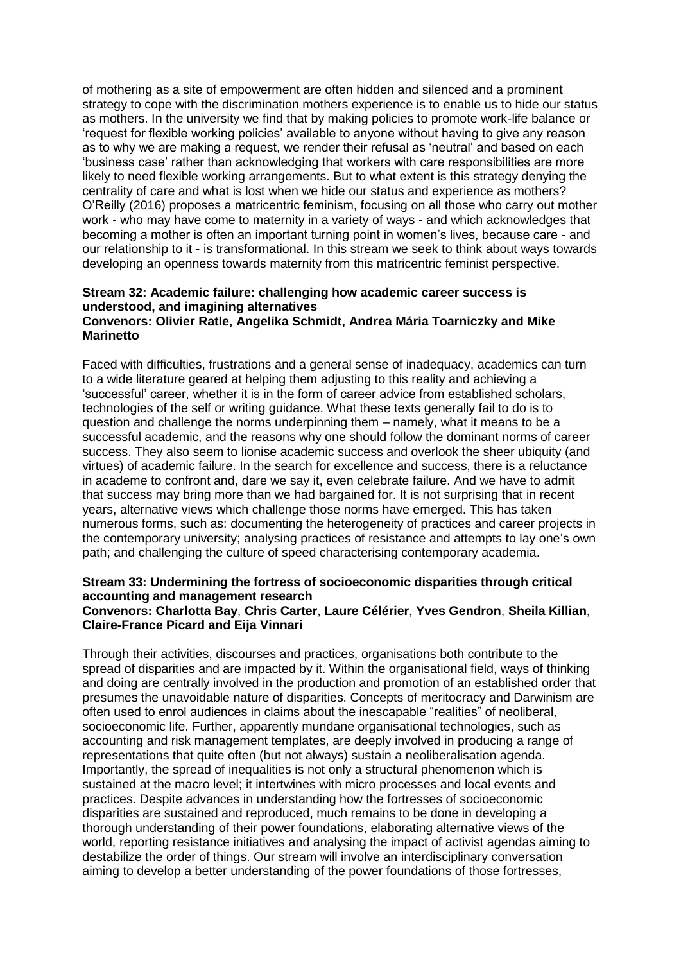of mothering as a site of empowerment are often hidden and silenced and a prominent strategy to cope with the discrimination mothers experience is to enable us to hide our status as mothers. In the university we find that by making policies to promote work-life balance or 'request for flexible working policies' available to anyone without having to give any reason as to why we are making a request, we render their refusal as 'neutral' and based on each 'business case' rather than acknowledging that workers with care responsibilities are more likely to need flexible working arrangements. But to what extent is this strategy denying the centrality of care and what is lost when we hide our status and experience as mothers? O'Reilly (2016) proposes a matricentric feminism, focusing on all those who carry out mother work - who may have come to maternity in a variety of ways - and which acknowledges that becoming a mother is often an important turning point in women's lives, because care - and our relationship to it - is transformational. In this stream we seek to think about ways towards developing an openness towards maternity from this matricentric feminist perspective.

#### **Stream 32: Academic failure: challenging how academic career success is understood, and imagining alternatives Convenors: Olivier Ratle, Angelika Schmidt, Andrea Mária Toarniczky and Mike Marinetto**

Faced with difficulties, frustrations and a general sense of inadequacy, academics can turn to a wide literature geared at helping them adjusting to this reality and achieving a 'successful' career, whether it is in the form of career advice from established scholars, technologies of the self or writing guidance. What these texts generally fail to do is to question and challenge the norms underpinning them – namely, what it means to be a successful academic, and the reasons why one should follow the dominant norms of career success. They also seem to lionise academic success and overlook the sheer ubiquity (and virtues) of academic failure. In the search for excellence and success, there is a reluctance in academe to confront and, dare we say it, even celebrate failure. And we have to admit that success may bring more than we had bargained for. It is not surprising that in recent years, alternative views which challenge those norms have emerged. This has taken numerous forms, such as: documenting the heterogeneity of practices and career projects in the contemporary university; analysing practices of resistance and attempts to lay one's own path; and challenging the culture of speed characterising contemporary academia.

### **Stream 33: Undermining the fortress of socioeconomic disparities through critical accounting and management research Convenors: Charlotta Bay**, **Chris Carter**, **Laure Célérier**, **Yves Gendron**, **Sheila Killian**, **Claire-France Picard and Eija Vinnari**

Through their activities, discourses and practices, organisations both contribute to the spread of disparities and are impacted by it. Within the organisational field, ways of thinking and doing are centrally involved in the production and promotion of an established order that presumes the unavoidable nature of disparities. Concepts of meritocracy and Darwinism are often used to enrol audiences in claims about the inescapable "realities" of neoliberal, socioeconomic life. Further, apparently mundane organisational technologies, such as accounting and risk management templates, are deeply involved in producing a range of representations that quite often (but not always) sustain a neoliberalisation agenda. Importantly, the spread of inequalities is not only a structural phenomenon which is sustained at the macro level; it intertwines with micro processes and local events and practices. Despite advances in understanding how the fortresses of socioeconomic disparities are sustained and reproduced, much remains to be done in developing a thorough understanding of their power foundations, elaborating alternative views of the world, reporting resistance initiatives and analysing the impact of activist agendas aiming to destabilize the order of things. Our stream will involve an interdisciplinary conversation aiming to develop a better understanding of the power foundations of those fortresses,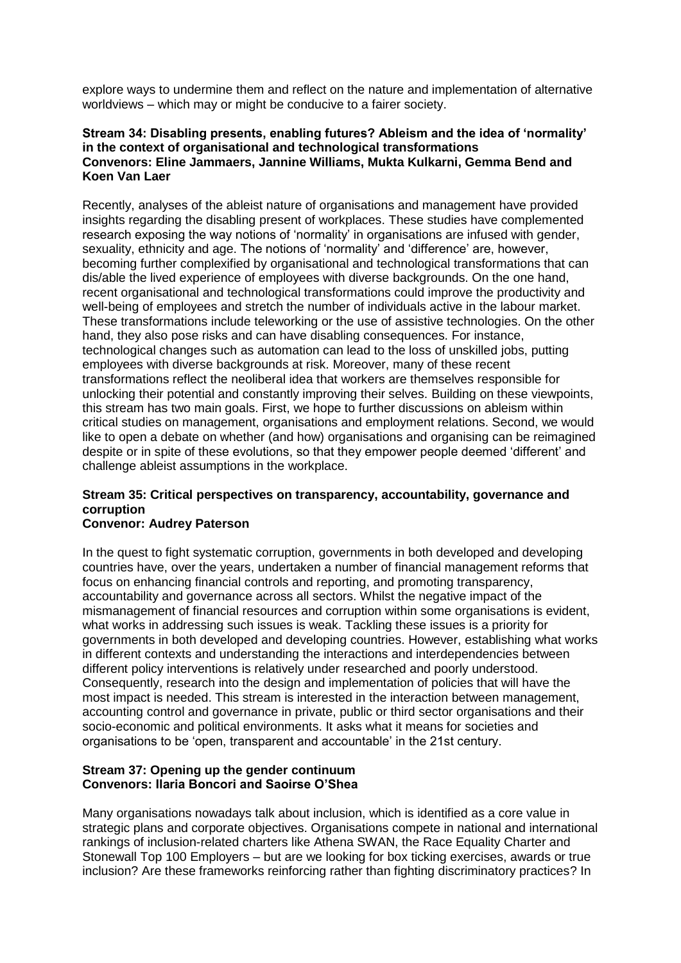explore ways to undermine them and reflect on the nature and implementation of alternative worldviews – which may or might be conducive to a fairer society.

# **Stream 34: Disabling presents, enabling futures? Ableism and the idea of 'normality' in the context of organisational and technological transformations Convenors: Eline Jammaers, Jannine Williams, Mukta Kulkarni, Gemma Bend and Koen Van Laer**

Recently, analyses of the ableist nature of organisations and management have provided insights regarding the disabling present of workplaces. These studies have complemented research exposing the way notions of 'normality' in organisations are infused with gender, sexuality, ethnicity and age. The notions of 'normality' and 'difference' are, however, becoming further complexified by organisational and technological transformations that can dis/able the lived experience of employees with diverse backgrounds. On the one hand, recent organisational and technological transformations could improve the productivity and well-being of employees and stretch the number of individuals active in the labour market. These transformations include teleworking or the use of assistive technologies. On the other hand, they also pose risks and can have disabling consequences. For instance, technological changes such as automation can lead to the loss of unskilled jobs, putting employees with diverse backgrounds at risk. Moreover, many of these recent transformations reflect the neoliberal idea that workers are themselves responsible for unlocking their potential and constantly improving their selves. Building on these viewpoints, this stream has two main goals. First, we hope to further discussions on ableism within critical studies on management, organisations and employment relations. Second, we would like to open a debate on whether (and how) organisations and organising can be reimagined despite or in spite of these evolutions, so that they empower people deemed 'different' and challenge ableist assumptions in the workplace.

# **Stream 35: Critical perspectives on transparency, accountability, governance and corruption**

# **Convenor: Audrey Paterson**

In the quest to fight systematic corruption, governments in both developed and developing countries have, over the years, undertaken a number of financial management reforms that focus on enhancing financial controls and reporting, and promoting transparency, accountability and governance across all sectors. Whilst the negative impact of the mismanagement of financial resources and corruption within some organisations is evident, what works in addressing such issues is weak. Tackling these issues is a priority for governments in both developed and developing countries. However, establishing what works in different contexts and understanding the interactions and interdependencies between different policy interventions is relatively under researched and poorly understood. Consequently, research into the design and implementation of policies that will have the most impact is needed. This stream is interested in the interaction between management, accounting control and governance in private, public or third sector organisations and their socio-economic and political environments. It asks what it means for societies and organisations to be 'open, transparent and accountable' in the 21st century.

### **Stream 37: Opening up the gender continuum Convenors: Ilaria Boncori and Saoirse O'Shea**

Many organisations nowadays talk about inclusion, which is identified as a core value in strategic plans and corporate objectives. Organisations compete in national and international rankings of inclusion-related charters like Athena SWAN, the Race Equality Charter and Stonewall Top 100 Employers – but are we looking for box ticking exercises, awards or true inclusion? Are these frameworks reinforcing rather than fighting discriminatory practices? In